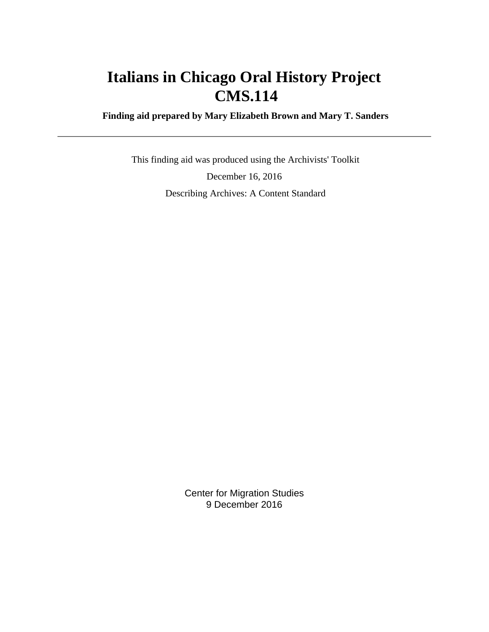# **Italians in Chicago Oral History Project CMS.114**

 **Finding aid prepared by Mary Elizabeth Brown and Mary T. Sanders**

 This finding aid was produced using the Archivists' Toolkit December 16, 2016 Describing Archives: A Content Standard

> Center for Migration Studies 9 December 2016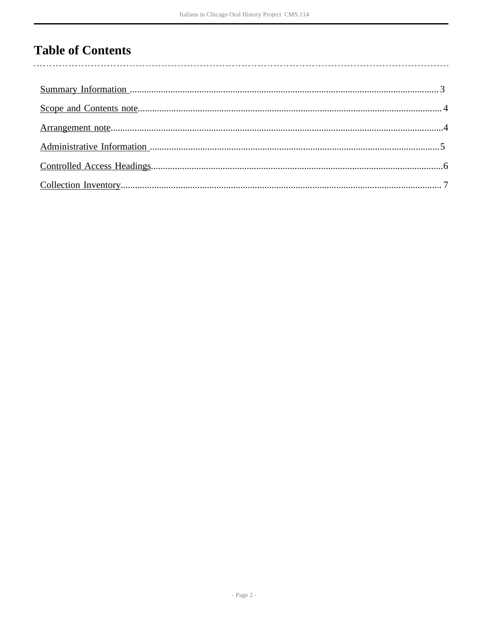## **Table of Contents**

 $\overline{\phantom{a}}$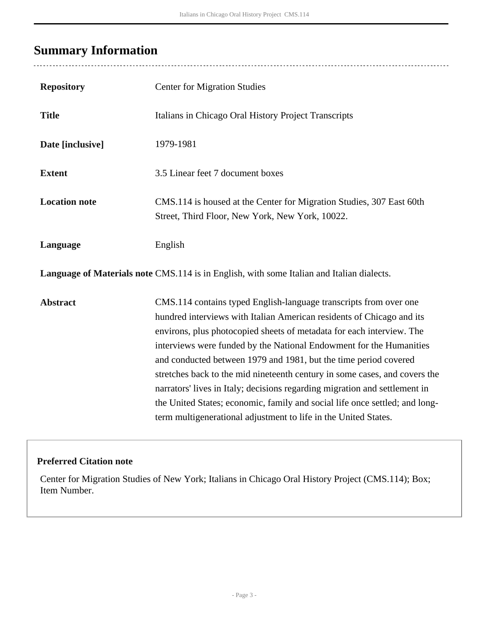## <span id="page-2-0"></span>**Summary Information**

 $\overline{a}$ 

| <b>Repository</b>                                                                         | <b>Center for Migration Studies</b>                                                                                                                                                                                                                                                                                                                                                                                                                                                                                                                                                                                                                                          |  |  |
|-------------------------------------------------------------------------------------------|------------------------------------------------------------------------------------------------------------------------------------------------------------------------------------------------------------------------------------------------------------------------------------------------------------------------------------------------------------------------------------------------------------------------------------------------------------------------------------------------------------------------------------------------------------------------------------------------------------------------------------------------------------------------------|--|--|
| <b>Title</b>                                                                              | Italians in Chicago Oral History Project Transcripts                                                                                                                                                                                                                                                                                                                                                                                                                                                                                                                                                                                                                         |  |  |
| Date [inclusive]                                                                          | 1979-1981                                                                                                                                                                                                                                                                                                                                                                                                                                                                                                                                                                                                                                                                    |  |  |
| <b>Extent</b>                                                                             | 3.5 Linear feet 7 document boxes                                                                                                                                                                                                                                                                                                                                                                                                                                                                                                                                                                                                                                             |  |  |
| <b>Location note</b>                                                                      | CMS.114 is housed at the Center for Migration Studies, 307 East 60th<br>Street, Third Floor, New York, New York, 10022.                                                                                                                                                                                                                                                                                                                                                                                                                                                                                                                                                      |  |  |
| Language                                                                                  | English                                                                                                                                                                                                                                                                                                                                                                                                                                                                                                                                                                                                                                                                      |  |  |
| Language of Materials note CMS.114 is in English, with some Italian and Italian dialects. |                                                                                                                                                                                                                                                                                                                                                                                                                                                                                                                                                                                                                                                                              |  |  |
| <b>Abstract</b>                                                                           | CMS.114 contains typed English-language transcripts from over one<br>hundred interviews with Italian American residents of Chicago and its<br>environs, plus photocopied sheets of metadata for each interview. The<br>interviews were funded by the National Endowment for the Humanities<br>and conducted between 1979 and 1981, but the time period covered<br>stretches back to the mid nineteenth century in some cases, and covers the<br>narrators' lives in Italy; decisions regarding migration and settlement in<br>the United States; economic, family and social life once settled; and long-<br>term multigenerational adjustment to life in the United States. |  |  |

### **Preferred Citation note**

Center for Migration Studies of New York; Italians in Chicago Oral History Project (CMS.114); Box; Item Number.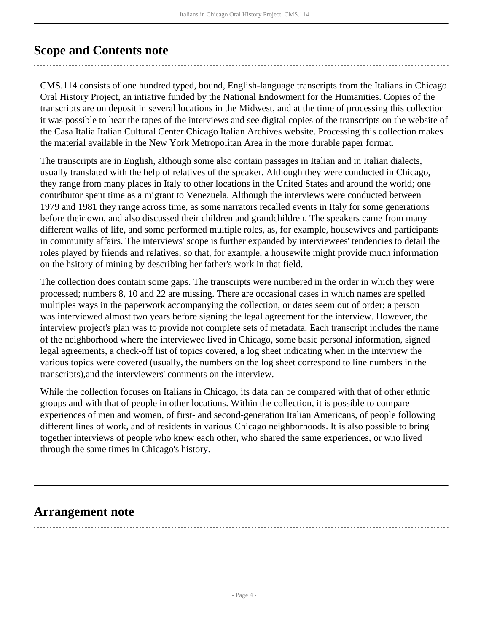### <span id="page-3-0"></span>**Scope and Contents note**

CMS.114 consists of one hundred typed, bound, English-language transcripts from the Italians in Chicago Oral History Project, an intiative funded by the National Endowment for the Humanities. Copies of the transcripts are on deposit in several locations in the Midwest, and at the time of processing this collection it was possible to hear the tapes of the interviews and see digital copies of the transcripts on the website of the Casa Italia Italian Cultural Center Chicago Italian Archives website. Processing this collection makes the material available in the New York Metropolitan Area in the more durable paper format.

The transcripts are in English, although some also contain passages in Italian and in Italian dialects, usually translated with the help of relatives of the speaker. Although they were conducted in Chicago, they range from many places in Italy to other locations in the United States and around the world; one contributor spent time as a migrant to Venezuela. Although the interviews were conducted between 1979 and 1981 they range across time, as some narrators recalled events in Italy for some generations before their own, and also discussed their children and grandchildren. The speakers came from many different walks of life, and some performed multiple roles, as, for example, housewives and participants in community affairs. The interviews' scope is further expanded by interviewees' tendencies to detail the roles played by friends and relatives, so that, for example, a housewife might provide much information on the hsitory of mining by describing her father's work in that field.

The collection does contain some gaps. The transcripts were numbered in the order in which they were processed; numbers 8, 10 and 22 are missing. There are occasional cases in which names are spelled multiples ways in the paperwork accompanying the collection, or dates seem out of order; a person was interviewed almost two years before signing the legal agreement for the interview. However, the interview project's plan was to provide not complete sets of metadata. Each transcript includes the name of the neighborhood where the interviewee lived in Chicago, some basic personal information, signed legal agreements, a check-off list of topics covered, a log sheet indicating when in the interview the various topics were covered (usually, the numbers on the log sheet correspond to line numbers in the transcripts),and the interviewers' comments on the interview.

While the collection focuses on Italians in Chicago, its data can be compared with that of other ethnic groups and with that of people in other locations. Within the collection, it is possible to compare experiences of men and women, of first- and second-generation Italian Americans, of people following different lines of work, and of residents in various Chicago neighborhoods. It is also possible to bring together interviews of people who knew each other, who shared the same experiences, or who lived through the same times in Chicago's history.

### <span id="page-3-1"></span>**Arrangement note**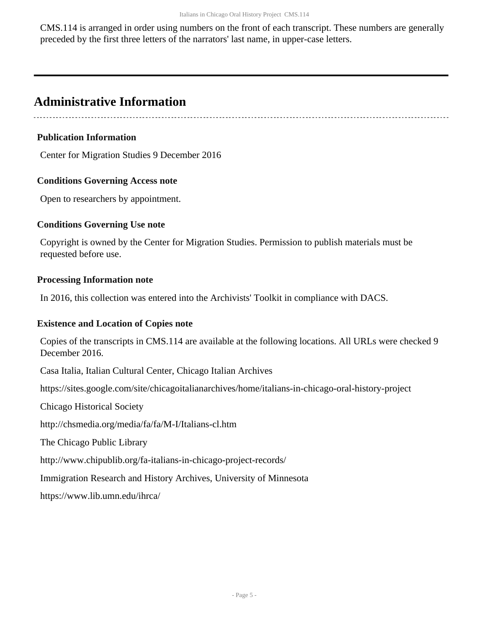CMS.114 is arranged in order using numbers on the front of each transcript. These numbers are generally preceded by the first three letters of the narrators' last name, in upper-case letters.

### <span id="page-4-0"></span>**Administrative Information**

**Publication Information**

Center for Migration Studies 9 December 2016

#### **Conditions Governing Access note**

Open to researchers by appointment.

#### **Conditions Governing Use note**

Copyright is owned by the Center for Migration Studies. Permission to publish materials must be requested before use.

#### **Processing Information note**

In 2016, this collection was entered into the Archivists' Toolkit in compliance with DACS.

#### **Existence and Location of Copies note**

Copies of the transcripts in CMS.114 are available at the following locations. All URLs were checked 9 December 2016.

Casa Italia, Italian Cultural Center, Chicago Italian Archives

https://sites.google.com/site/chicagoitalianarchives/home/italians-in-chicago-oral-history-project

Chicago Historical Society

http://chsmedia.org/media/fa/fa/M-I/Italians-cl.htm

The Chicago Public Library

http://www.chipublib.org/fa-italians-in-chicago-project-records/

Immigration Research and History Archives, University of Minnesota

https://www.lib.umn.edu/ihrca/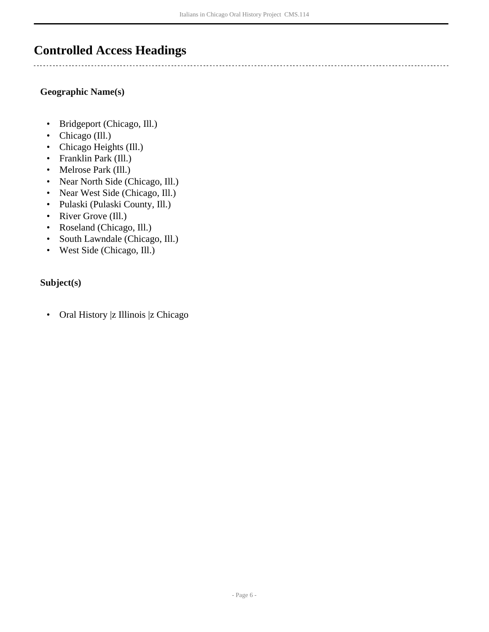### <span id="page-5-0"></span>**Controlled Access Headings**

#### **Geographic Name(s)**

- Bridgeport (Chicago, Ill.)
- Chicago (Ill.)
- Chicago Heights (Ill.)
- Franklin Park (Ill.)
- Melrose Park (Ill.)
- Near North Side (Chicago, Ill.)
- Near West Side (Chicago, Ill.)
- Pulaski (Pulaski County, Ill.)
- River Grove (Ill.)
- Roseland (Chicago, Ill.)
- South Lawndale (Chicago, Ill.)
- West Side (Chicago, Ill.)

#### **Subject(s)**

• Oral History |z Illinois |z Chicago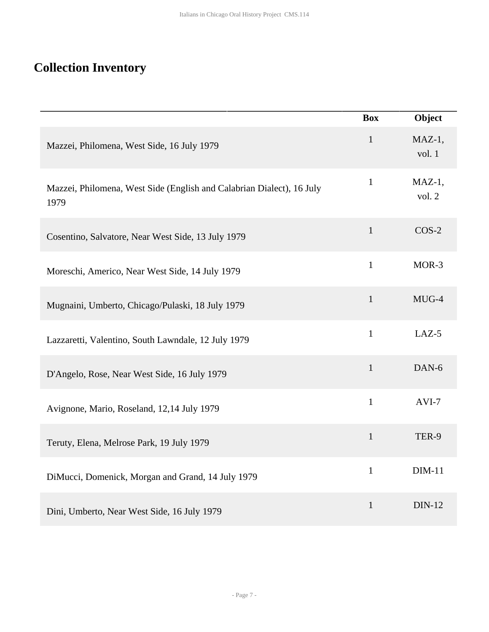## <span id="page-6-0"></span>**Collection Inventory**

|                                                                               | <b>Box</b>   | Object              |
|-------------------------------------------------------------------------------|--------------|---------------------|
| Mazzei, Philomena, West Side, 16 July 1979                                    | $\mathbf{1}$ | $MAZ-1$ ,<br>vol. 1 |
| Mazzei, Philomena, West Side (English and Calabrian Dialect), 16 July<br>1979 | $\mathbf{1}$ | $MAZ-1$ ,<br>vol. 2 |
| Cosentino, Salvatore, Near West Side, 13 July 1979                            | $\mathbf 1$  | $COS-2$             |
| Moreschi, Americo, Near West Side, 14 July 1979                               | $\mathbf{1}$ | MOR-3               |
| Mugnaini, Umberto, Chicago/Pulaski, 18 July 1979                              | $\mathbf{1}$ | MUG-4               |
| Lazzaretti, Valentino, South Lawndale, 12 July 1979                           | $\mathbf{1}$ | LAZ-5               |
| D'Angelo, Rose, Near West Side, 16 July 1979                                  | $\mathbf{1}$ | DAN-6               |
| Avignone, Mario, Roseland, 12,14 July 1979                                    | $\mathbf{1}$ | AVI-7               |
| Teruty, Elena, Melrose Park, 19 July 1979                                     | $\mathbf{1}$ | TER-9               |
| DiMucci, Domenick, Morgan and Grand, 14 July 1979                             | $\mathbf{1}$ | $DIM-11$            |
| Dini, Umberto, Near West Side, 16 July 1979                                   | $\mathbf{1}$ | <b>DIN-12</b>       |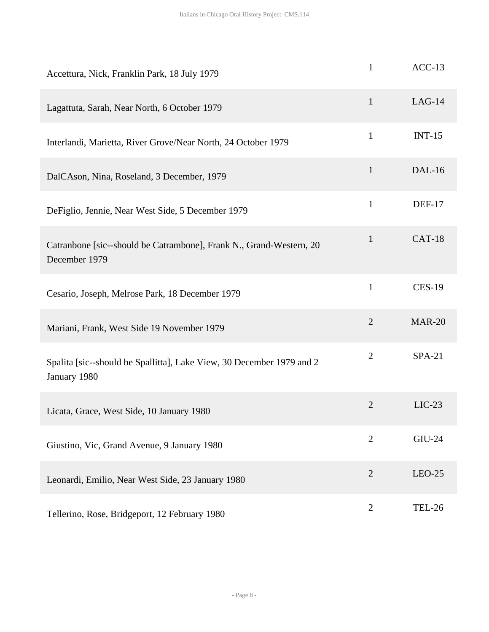| Accettura, Nick, Franklin Park, 18 July 1979                                          | $\mathbf{1}$   | $ACC-13$      |
|---------------------------------------------------------------------------------------|----------------|---------------|
| Lagattuta, Sarah, Near North, 6 October 1979                                          | $\mathbf{1}$   | $LAG-14$      |
| Interlandi, Marietta, River Grove/Near North, 24 October 1979                         | $\mathbf{1}$   | $INT-15$      |
| DalCAson, Nina, Roseland, 3 December, 1979                                            | $\mathbf{1}$   | $DAL-16$      |
| DeFiglio, Jennie, Near West Side, 5 December 1979                                     | $\mathbf{1}$   | <b>DEF-17</b> |
| Catranbone [sic--should be Catrambone], Frank N., Grand-Western, 20<br>December 1979  | $\mathbf{1}$   | <b>CAT-18</b> |
| Cesario, Joseph, Melrose Park, 18 December 1979                                       | $\mathbf{1}$   | <b>CES-19</b> |
| Mariani, Frank, West Side 19 November 1979                                            | $\overline{2}$ | <b>MAR-20</b> |
| Spalita [sic--should be Spallitta], Lake View, 30 December 1979 and 2<br>January 1980 | $\overline{2}$ | $SPA-21$      |
| Licata, Grace, West Side, 10 January 1980                                             | $\mathbf{2}$   | $LIC-23$      |
| Giustino, Vic, Grand Avenue, 9 January 1980                                           | $\overline{2}$ | <b>GIU-24</b> |
| Leonardi, Emilio, Near West Side, 23 January 1980                                     | $\overline{2}$ | $LEO-25$      |
| Tellerino, Rose, Bridgeport, 12 February 1980                                         | $\overline{2}$ | <b>TEL-26</b> |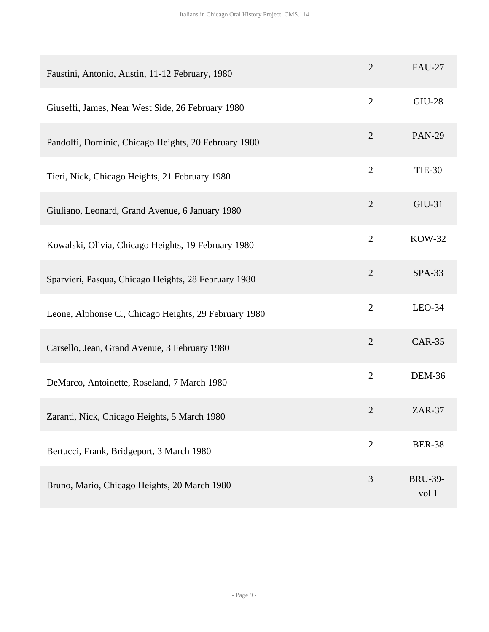| Faustini, Antonio, Austin, 11-12 February, 1980       | $\overline{2}$ | <b>FAU-27</b>           |
|-------------------------------------------------------|----------------|-------------------------|
| Giuseffi, James, Near West Side, 26 February 1980     | $\overline{2}$ | <b>GIU-28</b>           |
| Pandolfi, Dominic, Chicago Heights, 20 February 1980  | $\overline{2}$ | <b>PAN-29</b>           |
| Tieri, Nick, Chicago Heights, 21 February 1980        | $\overline{2}$ | <b>TIE-30</b>           |
| Giuliano, Leonard, Grand Avenue, 6 January 1980       | $\overline{2}$ | GIU-31                  |
| Kowalski, Olivia, Chicago Heights, 19 February 1980   | $\overline{2}$ | <b>KOW-32</b>           |
| Sparvieri, Pasqua, Chicago Heights, 28 February 1980  | $\overline{2}$ | <b>SPA-33</b>           |
| Leone, Alphonse C., Chicago Heights, 29 February 1980 | $\overline{2}$ | $LEO-34$                |
| Carsello, Jean, Grand Avenue, 3 February 1980         | $\overline{2}$ | <b>CAR-35</b>           |
| DeMarco, Antoinette, Roseland, 7 March 1980           | $\overline{2}$ | <b>DEM-36</b>           |
| Zaranti, Nick, Chicago Heights, 5 March 1980          | $\overline{2}$ | $ZAR-37$                |
| Bertucci, Frank, Bridgeport, 3 March 1980             | $\overline{2}$ | <b>BER-38</b>           |
| Bruno, Mario, Chicago Heights, 20 March 1980          | 3              | <b>BRU-39-</b><br>vol 1 |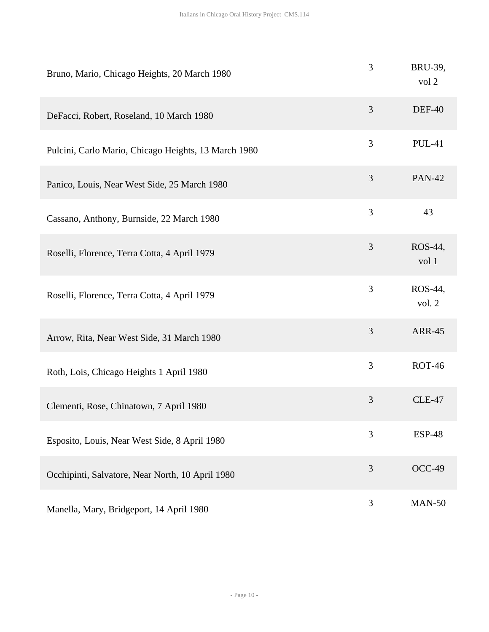| Bruno, Mario, Chicago Heights, 20 March 1980         | 3              | BRU-39,<br>vol 2  |
|------------------------------------------------------|----------------|-------------------|
| DeFacci, Robert, Roseland, 10 March 1980             | 3              | <b>DEF-40</b>     |
| Pulcini, Carlo Mario, Chicago Heights, 13 March 1980 | 3              | <b>PUL-41</b>     |
| Panico, Louis, Near West Side, 25 March 1980         | $\mathfrak{Z}$ | <b>PAN-42</b>     |
| Cassano, Anthony, Burnside, 22 March 1980            | 3              | 43                |
| Roselli, Florence, Terra Cotta, 4 April 1979         | 3              | ROS-44,<br>vol 1  |
| Roselli, Florence, Terra Cotta, 4 April 1979         | 3              | ROS-44,<br>vol. 2 |
| Arrow, Rita, Near West Side, 31 March 1980           | 3              | <b>ARR-45</b>     |
| Roth, Lois, Chicago Heights 1 April 1980             | 3              | <b>ROT-46</b>     |
| Clementi, Rose, Chinatown, 7 April 1980              | $\mathfrak{Z}$ | <b>CLE-47</b>     |
| Esposito, Louis, Near West Side, 8 April 1980        | 3              | <b>ESP-48</b>     |
| Occhipinti, Salvatore, Near North, 10 April 1980     | 3              | OCC-49            |
| Manella, Mary, Bridgeport, 14 April 1980             | 3              | <b>MAN-50</b>     |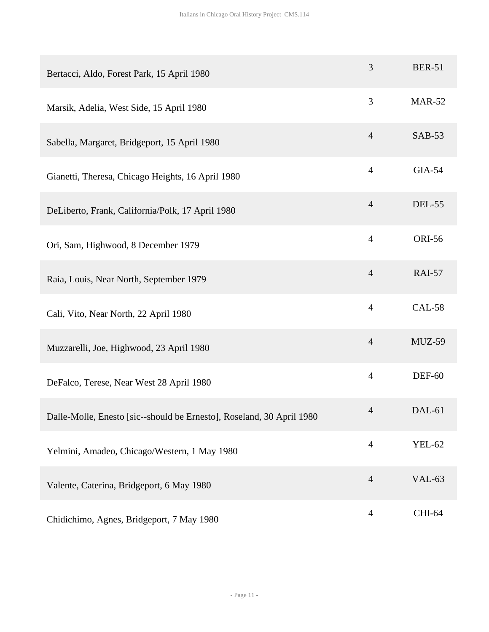| Bertacci, Aldo, Forest Park, 15 April 1980                            | 3              | <b>BER-51</b> |
|-----------------------------------------------------------------------|----------------|---------------|
| Marsik, Adelia, West Side, 15 April 1980                              | 3              | <b>MAR-52</b> |
| Sabella, Margaret, Bridgeport, 15 April 1980                          | $\overline{4}$ | <b>SAB-53</b> |
| Gianetti, Theresa, Chicago Heights, 16 April 1980                     | $\overline{4}$ | <b>GIA-54</b> |
| DeLiberto, Frank, California/Polk, 17 April 1980                      | $\overline{4}$ | <b>DEL-55</b> |
| Ori, Sam, Highwood, 8 December 1979                                   | $\overline{4}$ | <b>ORI-56</b> |
| Raia, Louis, Near North, September 1979                               | $\overline{4}$ | <b>RAI-57</b> |
| Cali, Vito, Near North, 22 April 1980                                 | $\overline{4}$ | <b>CAL-58</b> |
| Muzzarelli, Joe, Highwood, 23 April 1980                              | $\overline{4}$ | $MUZ-59$      |
| DeFalco, Terese, Near West 28 April 1980                              | $\overline{4}$ | <b>DEF-60</b> |
| Dalle-Molle, Enesto [sic--should be Ernesto], Roseland, 30 April 1980 | $\overline{4}$ | DAL-61        |
| Yelmini, Amadeo, Chicago/Western, 1 May 1980                          | $\overline{4}$ | <b>YEL-62</b> |
| Valente, Caterina, Bridgeport, 6 May 1980                             | $\overline{4}$ | <b>VAL-63</b> |
| Chidichimo, Agnes, Bridgeport, 7 May 1980                             | $\overline{4}$ | CHI-64        |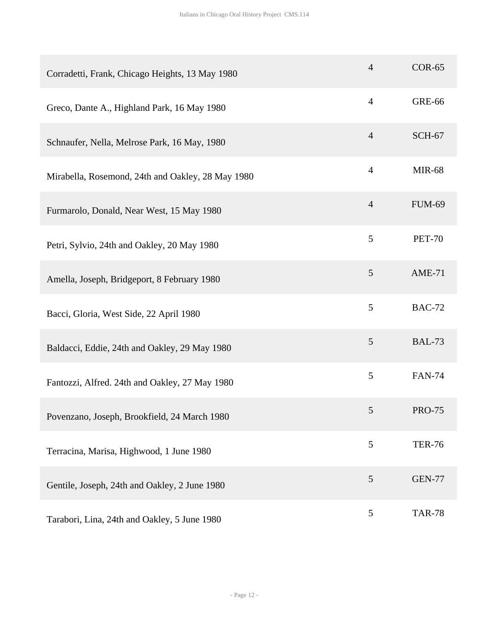| Corradetti, Frank, Chicago Heights, 13 May 1980   | $\overline{4}$ | $COR-65$      |
|---------------------------------------------------|----------------|---------------|
| Greco, Dante A., Highland Park, 16 May 1980       | $\overline{4}$ | <b>GRE-66</b> |
| Schnaufer, Nella, Melrose Park, 16 May, 1980      | $\overline{4}$ | <b>SCH-67</b> |
| Mirabella, Rosemond, 24th and Oakley, 28 May 1980 | $\overline{4}$ | <b>MIR-68</b> |
| Furmarolo, Donald, Near West, 15 May 1980         | $\overline{4}$ | <b>FUM-69</b> |
| Petri, Sylvio, 24th and Oakley, 20 May 1980       | 5              | <b>PET-70</b> |
| Amella, Joseph, Bridgeport, 8 February 1980       | $\mathfrak{S}$ | $AME-71$      |
| Bacci, Gloria, West Side, 22 April 1980           | 5              | <b>BAC-72</b> |
| Baldacci, Eddie, 24th and Oakley, 29 May 1980     | 5              | <b>BAL-73</b> |
| Fantozzi, Alfred. 24th and Oakley, 27 May 1980    | 5              | <b>FAN-74</b> |
| Povenzano, Joseph, Brookfield, 24 March 1980      | 5              | <b>PRO-75</b> |
| Terracina, Marisa, Highwood, 1 June 1980          | 5              | <b>TER-76</b> |
| Gentile, Joseph, 24th and Oakley, 2 June 1980     | 5              | <b>GEN-77</b> |
| Tarabori, Lina, 24th and Oakley, 5 June 1980      | 5              | <b>TAR-78</b> |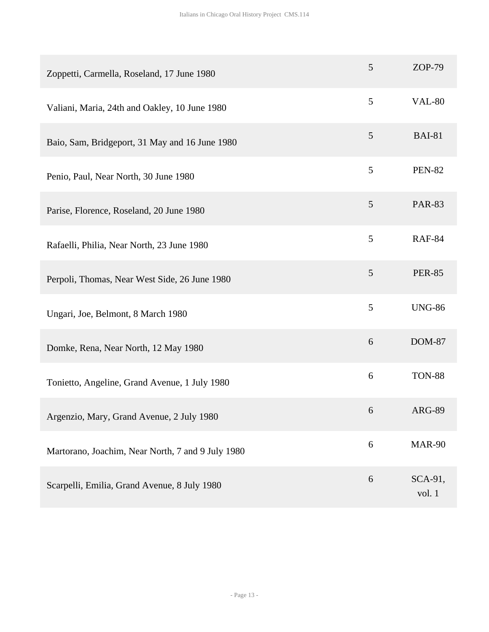| Zoppetti, Carmella, Roseland, 17 June 1980        | $\mathfrak{S}$   | $ZOP-79$          |
|---------------------------------------------------|------------------|-------------------|
| Valiani, Maria, 24th and Oakley, 10 June 1980     | 5                | <b>VAL-80</b>     |
| Baio, Sam, Bridgeport, 31 May and 16 June 1980    | 5                | <b>BAI-81</b>     |
| Penio, Paul, Near North, 30 June 1980             | 5                | <b>PEN-82</b>     |
| Parise, Florence, Roseland, 20 June 1980          | 5                | <b>PAR-83</b>     |
| Rafaelli, Philia, Near North, 23 June 1980        | 5                | <b>RAF-84</b>     |
| Perpoli, Thomas, Near West Side, 26 June 1980     | $\mathfrak{S}$   | <b>PER-85</b>     |
| Ungari, Joe, Belmont, 8 March 1980                | 5                | <b>UNG-86</b>     |
| Domke, Rena, Near North, 12 May 1980              | 6                | <b>DOM-87</b>     |
| Tonietto, Angeline, Grand Avenue, 1 July 1980     | $\boldsymbol{6}$ | <b>TON-88</b>     |
| Argenzio, Mary, Grand Avenue, 2 July 1980         | 6                | <b>ARG-89</b>     |
| Martorano, Joachim, Near North, 7 and 9 July 1980 | 6                | <b>MAR-90</b>     |
| Scarpelli, Emilia, Grand Avenue, 8 July 1980      | 6                | SCA-91,<br>vol. 1 |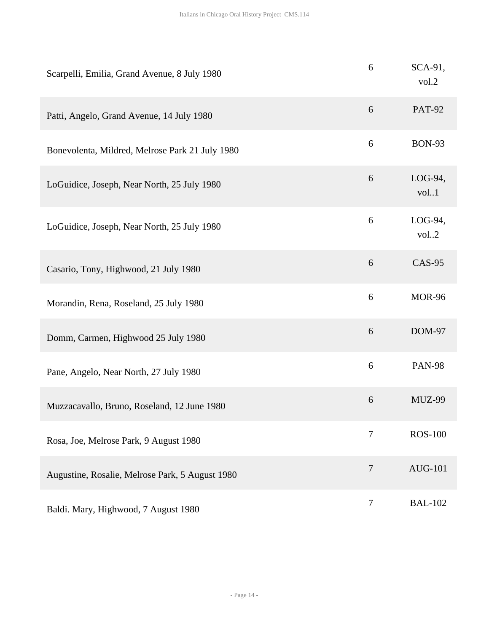| Scarpelli, Emilia, Grand Avenue, 8 July 1980    | 6              | SCA-91,<br>vol.2   |
|-------------------------------------------------|----------------|--------------------|
| Patti, Angelo, Grand Avenue, 14 July 1980       | 6              | <b>PAT-92</b>      |
| Bonevolenta, Mildred, Melrose Park 21 July 1980 | 6              | <b>BON-93</b>      |
| LoGuidice, Joseph, Near North, 25 July 1980     | 6              | $LOG-94,$<br>vol.1 |
| LoGuidice, Joseph, Near North, 25 July 1980     | 6              | $LOG-94,$<br>vol.2 |
| Casario, Tony, Highwood, 21 July 1980           | 6              | <b>CAS-95</b>      |
| Morandin, Rena, Roseland, 25 July 1980          | 6              | <b>MOR-96</b>      |
| Domm, Carmen, Highwood 25 July 1980             | 6              | <b>DOM-97</b>      |
| Pane, Angelo, Near North, 27 July 1980          | 6              | <b>PAN-98</b>      |
| Muzzacavallo, Bruno, Roseland, 12 June 1980     | $6\,$          | MUZ-99             |
| Rosa, Joe, Melrose Park, 9 August 1980          | $\overline{7}$ | <b>ROS-100</b>     |
| Augustine, Rosalie, Melrose Park, 5 August 1980 | $\overline{7}$ | <b>AUG-101</b>     |
| Baldi. Mary, Highwood, 7 August 1980            | $\tau$         | <b>BAL-102</b>     |